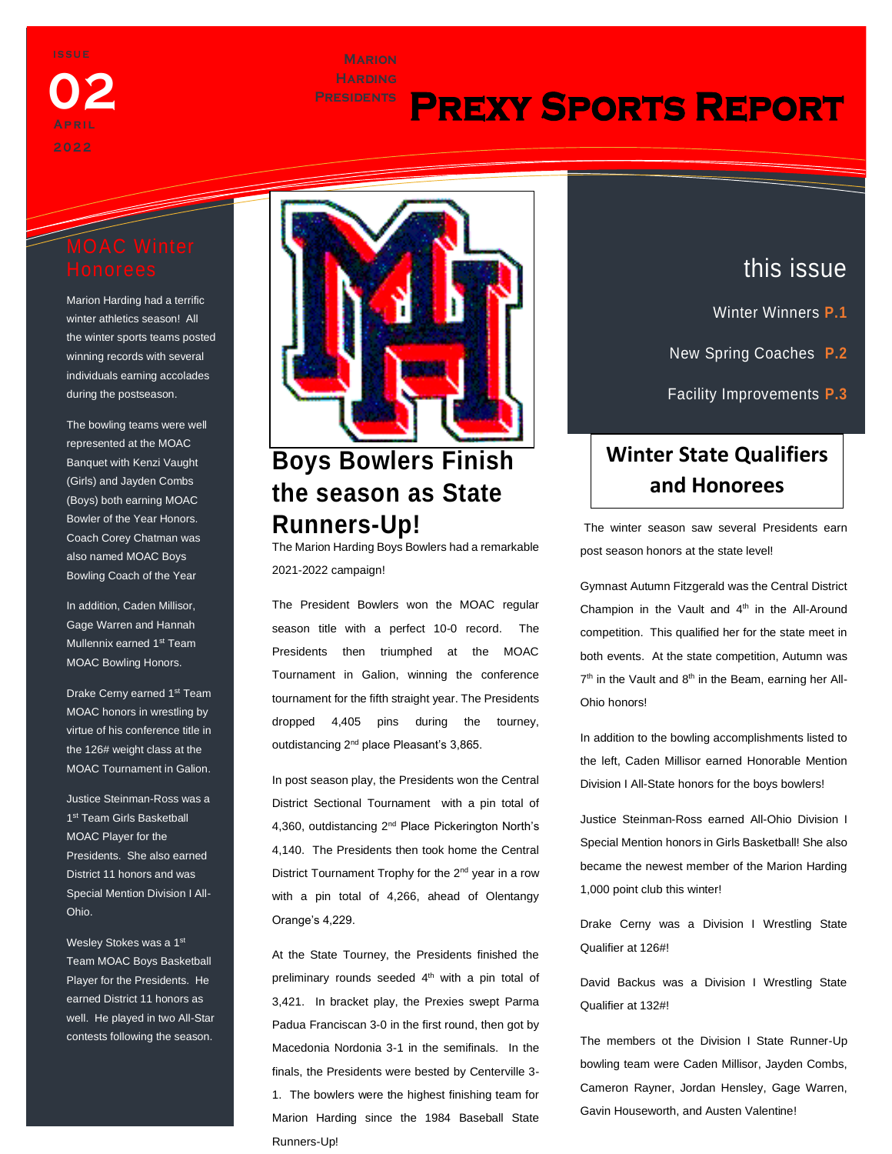

# **Marion**

# **Presidents Prexy Sports Report**

Marion Harding had a terrific winter athletics season! All the winter sports teams posted winning records with several individuals earning accolades during the postseason.

The bowling teams were well represented at the MOAC Banquet with Kenzi Vaught (Girls) and Jayden Combs (Boys) both earning MOAC Bowler of the Year Honors. Coach Corey Chatman was also named MOAC Boys Bowling Coach of the Year

In addition, Caden Millisor, Gage Warren and Hannah Mullennix earned 1st Team MOAC Bowling Honors.

Drake Cerny earned 1<sup>st</sup> Team MOAC honors in wrestling by virtue of his conference title in the 126# weight class at the MOAC Tournament in Galion.

Justice Steinman-Ross was a 1<sup>st</sup> Team Girls Basketball MOAC Player for the Presidents. She also earned District 11 honors and was Special Mention Division I All-Ohio.

Wesley Stokes was a 1st Team MOAC Boys Basketball Player for the Presidents. He earned District 11 honors as well. He played in two All-Star contests following the season.

euismod tincidunt ut laoreet



## **Runners-Up!**

The Marion Harding Boys Bowlers had a remarkable 2021-2022 campaign!

The President Bowlers won the MOAC regular season title with a perfect 10-0 record. The Presidents then triumphed at the MOAC Tournament in Galion, winning the conference tournament for the fifth straight year. The Presidents dropped 4,405 pins during the tourney, outdistancing 2<sup>nd</sup> place Pleasant's 3,865.

In post season play, the Presidents won the Central District Sectional Tournament with a pin total of 4,360, outdistancing 2<sup>nd</sup> Place Pickerington North's 4,140. The Presidents then took home the Central District Tournament Trophy for the  $2^{nd}$  year in a row with a pin total of 4,266, ahead of Olentangy Orange's 4,229.

At the State Tourney, the Presidents finished the preliminary rounds seeded 4<sup>th</sup> with a pin total of 3,421. In bracket play, the Prexies swept Parma Padua Franciscan 3-0 in the first round, then got by Macedonia Nordonia 3-1 in the semifinals. In the finals, the Presidents were bested by Centerville 3- 1. The bowlers were the highest finishing team for Marion Harding since the 1984 Baseball State Runners-Up!

### this issue

- Winter Winners **P.1**
- New Spring Coaches **P.2**

Facility Improvements **P.3**

Trends & New Software **P.4**

## **Winter State Qualifiers and Honorees**

The winter season saw several Presidents earn post season honors at the state level!

Gymnast Autumn Fitzgerald was the Central District Champion in the Vault and 4<sup>th</sup> in the All-Around competition. This qualified her for the state meet in both events. At the state competition, Autumn was 7<sup>th</sup> in the Vault and 8<sup>th</sup> in the Beam, earning her All-Ohio honors!

In addition to the bowling accomplishments listed to the left, Caden Millisor earned Honorable Mention Division I All-State honors for the boys bowlers!

Justice Steinman-Ross earned All-Ohio Division I Special Mention honors in Girls Basketball! She also became the newest member of the Marion Harding 1,000 point club this winter!

Drake Cerny was a Division I Wrestling State Qualifier at 126#!

David Backus was a Division I Wrestling State Qualifier at 132#!

The members ot the Division I State Runner-Up bowling team were Caden Millisor, Jayden Combs, Cameron Rayner, Jordan Hensley, Gage Warren, Gavin Houseworth, and Austen Valentine!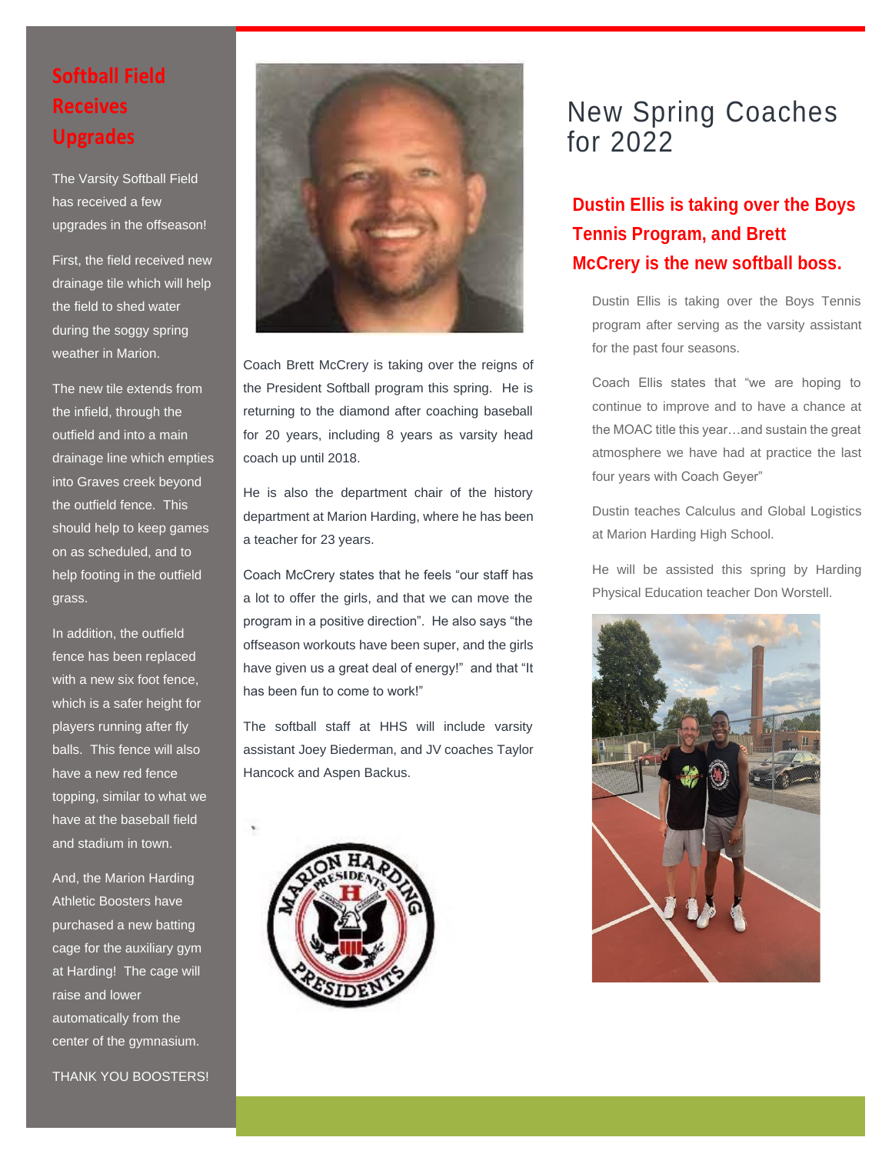## **Softball Field Receives Upgrades**

The Varsity Softball Field has received a few upgrades in the offseason!

First, the field received new drainage tile which will help the field to shed water during the soggy spring weather in Marion.

The new tile extends from the infield, through the outfield and into a main drainage line which empties into Graves creek beyond the outfield fence. This should help to keep games on as scheduled, and to help footing in the outfield grass.

In addition, the outfield fence has been replaced with a new six foot fence, which is a safer height for players running after fly balls. This fence will also have a new red fence topping, similar to what we have at the baseball field and stadium in town.

And, the Marion Harding Athletic Boosters have purchased a new batting cage for the auxiliary gym at Harding! The cage will raise and lower automatically from the center of the gymnasium.



Coach Brett McCrery is taking over the reigns of the President Softball program this spring. He is returning to the diamond after coaching baseball for 20 years, including 8 years as varsity head coach up until 2018.

He is also the department chair of the history department at Marion Harding, where he has been a teacher for 23 years.

Coach McCrery states that he feels "our staff has a lot to offer the girls, and that we can move the program in a positive direction". He also says "the offseason workouts have been super, and the girls have given us a great deal of energy!" and that "It has been fun to come to work!"

The softball staff at HHS will include varsity assistant Joey Biederman, and JV coaches Taylor Hancock and Aspen Backus.



# New Spring Coaches for 2022

#### **Dustin Ellis is taking over the Boys Tennis Program, and Brett McCrery is the new softball boss.**

Dustin Ellis is taking over the Boys Tennis program after serving as the varsity assistant for the past four seasons.

Coach Ellis states that "we are hoping to continue to improve and to have a chance at the MOAC title this year…and sustain the great atmosphere we have had at practice the last four years with Coach Geyer"

Dustin teaches Calculus and Global Logistics at Marion Harding High School.

He will be assisted this spring by Harding Physical Education teacher Don Worstell.

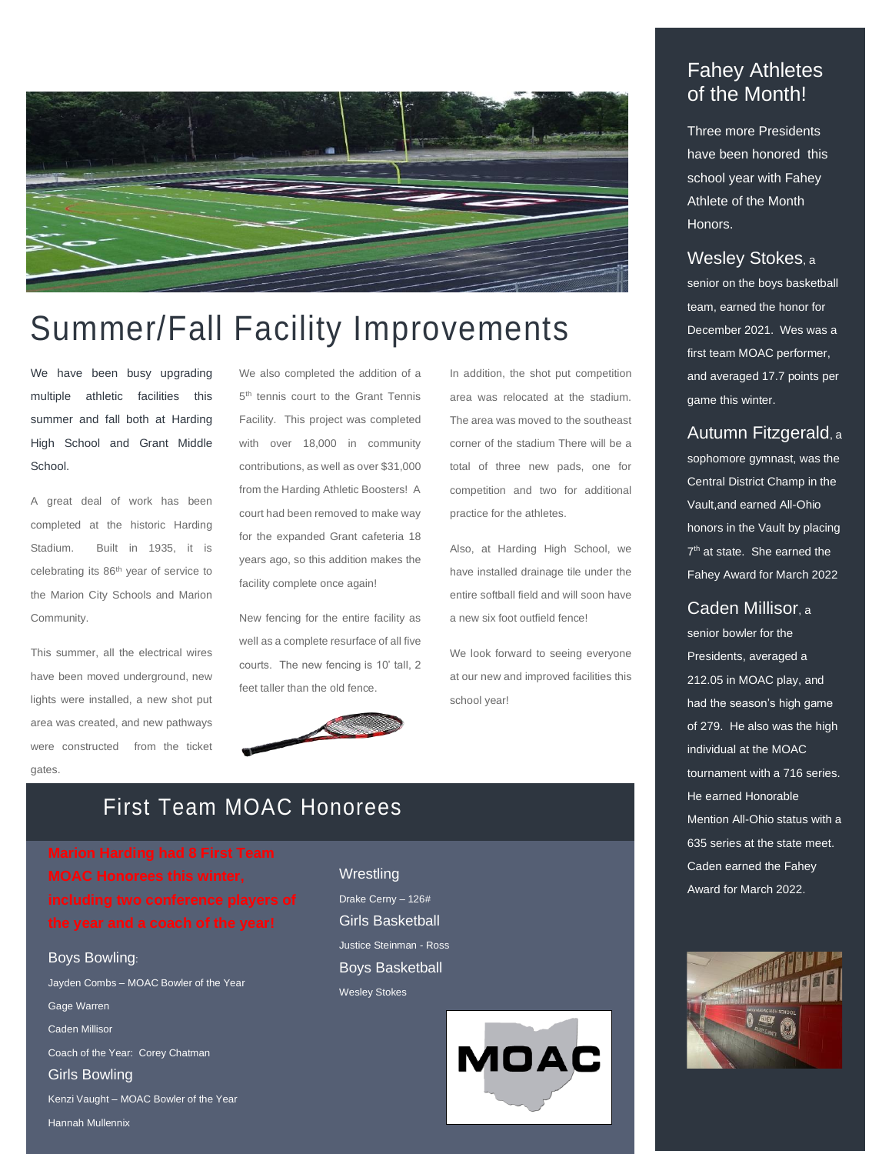

# Summer/Fall Facility Improvements

We have been busy upgrading multiple athletic facilities this summer and fall both at Harding High School and Grant Middle School.

A great deal of work has been completed at the historic Harding Stadium. Built in 1935, it is celebrating its 86th year of service to the Marion City Schools and Marion Community.

This summer, all the electrical wires have been moved underground, new lights were installed, a new shot put area was created, and new pathways were constructed from the ticket gates.

We also completed the addition of a 5<sup>th</sup> tennis court to the Grant Tennis Facility. This project was completed with over 18,000 in community contributions, as well as over \$31,000 from the Harding Athletic Boosters! A court had been removed to make way for the expanded Grant cafeteria 18 years ago, so this addition makes the facility complete once again!

New fencing for the entire facility as well as a complete resurface of all five courts. The new fencing is 10' tall, 2 feet taller than the old fence.



In addition, the shot put competition area was relocated at the stadium. The area was moved to the southeast corner of the stadium There will be a total of three new pads, one for competition and two for additional practice for the athletes.

Also, at Harding High School, we have installed drainage tile under the entire softball field and will soon have a new six foot outfield fence!

We look forward to seeing everyone at our new and improved facilities this school year!

#### Fahey Athletes of the Month!

Three more Presidents have been honored this school year with Fahey Athlete of the Month Honors.

#### Wesley Stokes, <sup>a</sup>

senior on the boys basketball team, earned the honor for December 2021. Wes was a first team MOAC performer, and averaged 17.7 points per game this winter.

Autumn Fitzgerald, <sup>a</sup>

sophomore gymnast, was the Central District Champ in the Vault,and earned All-Ohio honors in the Vault by placing 7<sup>th</sup> at state. She earned the Fahey Award for March 2022

#### Caden Millisor, <sup>a</sup>

senior bowler for the Presidents, averaged a 212.05 in MOAC play, and had the season's high game of 279. He also was the high individual at the MOAC tournament with a 716 series. He earned Honorable Mention All-Ohio status with a 635 series at the state meet. Caden earned the Fahey Award for March 2022.



#### First Team MOAC Honorees

#### Boys Bowling:

Jayden Combs – MOAC Bowler of the Year Gage Warren Caden Millisor Coach of the Year: Corey Chatman Girls Bowling Kenzi Vaught – MOAC Bowler of the Year Hannah Mullennix

**Wrestling** Drake Cerny – 126# Girls Basketball Justice Steinman - Ross Boys Basketball Wesley Stokes